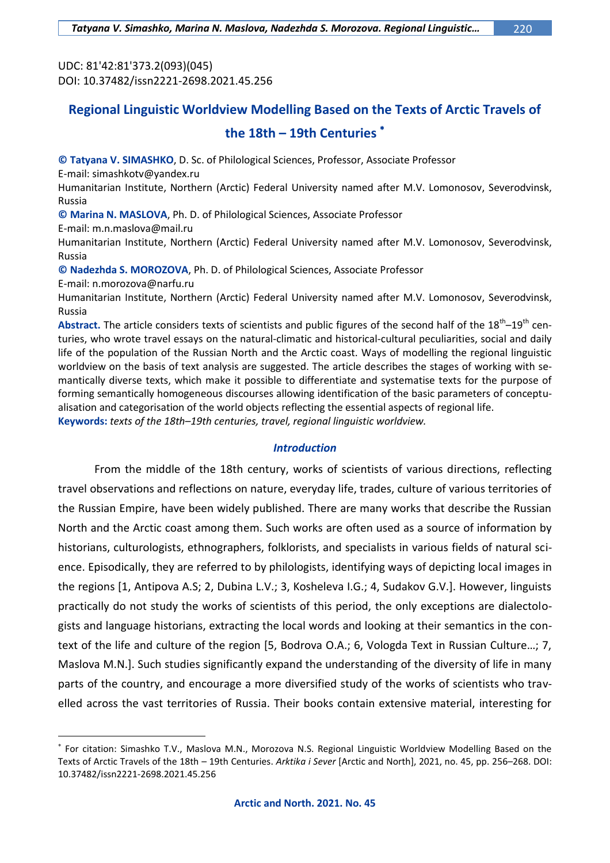UDC: 81'42:81'373.2(093)(045) DOI: 10.37482/issn2221-2698.2021.45.256

# **Regional Linguistic Worldview Modelling Based on the Texts of Arctic Travels of the 18th – 19th Centuries**

**© Tatyana V. SIMASHKO**, D. Sc. of Philological Sciences, Professor, Associate Professor

E-mail: [simashkotv@yandex.ru](mailto:simashkotv@yandex.ru)

Humanitarian Institute, Northern (Arctic) Federal University named after M.V. Lomonosov, Severodvinsk, Russia

**© Marina N. MASLOVA**, Ph. D. of Philological Sciences, Associate Professor

E-mail: [m.n.maslova@mail.ru](mailto:m.n.maslova@mail.ru)

Humanitarian Institute, Northern (Arctic) Federal University named after M.V. Lomonosov, Severodvinsk, Russia

**© Nadezhda S. MOROZOVA**, Ph. D. of Philological Sciences, Associate Professor

E-mail: [n.morozova@narfu.ru](mailto:n.morozova@narfu.ru)

 $\overline{a}$ 

Humanitarian Institute, Northern (Arctic) Federal University named after M.V. Lomonosov, Severodvinsk, Russia

Abstract. The article considers texts of scientists and public figures of the second half of the 18<sup>th</sup>–19<sup>th</sup> centuries, who wrote travel essays on the natural-climatic and historical-cultural peculiarities, social and daily life of the population of the Russian North and the Arctic coast. Ways of modelling the regional linguistic worldview on the basis of text analysis are suggested. The article describes the stages of working with semantically diverse texts, which make it possible to differentiate and systematise texts for the purpose of forming semantically homogeneous discourses allowing identification of the basic parameters of conceptualisation and categorisation of the world objects reflecting the essential aspects of regional life.

**Keywords:** *texts of the 18th–19th centuries, travel, regional linguistic worldview.*

## *Introduction*

From the middle of the 18th century, works of scientists of various directions, reflecting travel observations and reflections on nature, everyday life, trades, culture of various territories of the Russian Empire, have been widely published. There are many works that describe the Russian North and the Arctic coast among them. Such works are often used as a source of information by historians, culturologists, ethnographers, folklorists, and specialists in various fields of natural science. Episodically, they are referred to by philologists, identifying ways of depicting local images in the regions [1, Antipova A.S; 2, Dubina L.V.; 3, Kosheleva I.G.; 4, Sudakov G.V.]. However, linguists practically do not study the works of scientists of this period, the only exceptions are dialectologists and language historians, extracting the local words and looking at their semantics in the context of the life and culture of the region [5, Bodrova O.A.; 6, Vologda Text in Russian Culture…; 7, Maslova M.N.]. Such studies significantly expand the understanding of the diversity of life in many parts of the country, and encourage a more diversified study of the works of scientists who travelled across the vast territories of Russia. Their books contain extensive material, interesting for

For citation: Simashko T.V., Maslova M.N., Morozova N.S. Regional Linguistic Worldview Modelling Based on the Texts of Arctic Travels of the 18th – 19th Centuries. *Arktika i Sever* [Arctic and North], 2021, no. 45, pp. 256–268. DOI: 10.37482/issn2221-2698.2021.45.256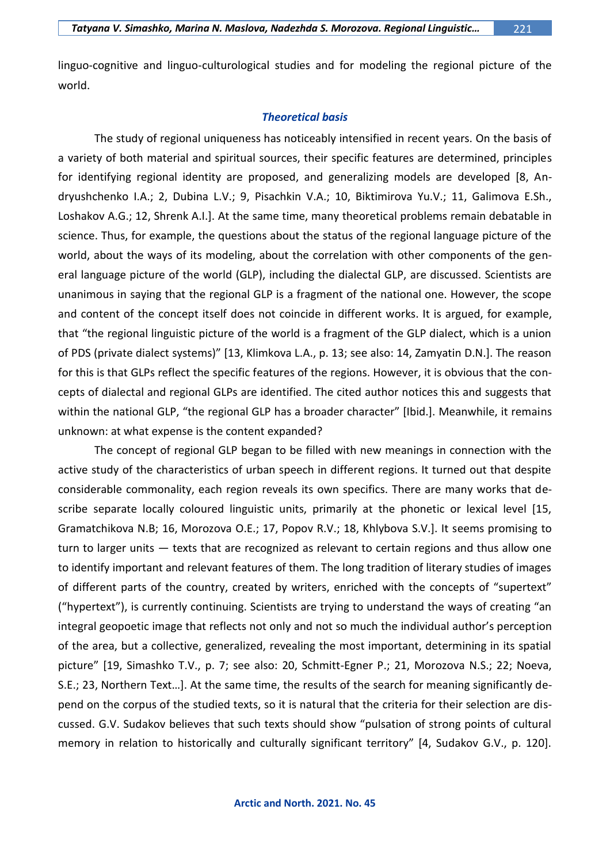linguo-cognitive and linguo-culturological studies and for modeling the regional picture of the world.

## *Theoretical basis*

The study of regional uniqueness has noticeably intensified in recent years. On the basis of a variety of both material and spiritual sources, their specific features are determined, principles for identifying regional identity are proposed, and generalizing models are developed [8, Andryushchenko I.A.; 2, Dubina L.V.; 9, Pisachkin V.A.; 10, Biktimirova Yu.V.; 11, Galimova E.Sh., Loshakov A.G.; 12, Shrenk A.I.]. At the same time, many theoretical problems remain debatable in science. Thus, for example, the questions about the status of the regional language picture of the world, about the ways of its modeling, about the correlation with other components of the general language picture of the world (GLP), including the dialectal GLP, are discussed. Scientists are unanimous in saying that the regional GLP is a fragment of the national one. However, the scope and content of the concept itself does not coincide in different works. It is argued, for example, that "the regional linguistic picture of the world is a fragment of the GLP dialect, which is a union of PDS (private dialect systems)" [13, Klimkova L.A., p. 13; see also: 14, Zamyatin D.N.]. The reason for this is that GLPs reflect the specific features of the regions. However, it is obvious that the concepts of dialectal and regional GLPs are identified. The cited author notices this and suggests that within the national GLP, "the regional GLP has a broader character" [Ibid.]. Meanwhile, it remains unknown: at what expense is the content expanded?

The concept of regional GLP began to be filled with new meanings in connection with the active study of the characteristics of urban speech in different regions. It turned out that despite considerable commonality, each region reveals its own specifics. There are many works that describe separate locally coloured linguistic units, primarily at the phonetic or lexical level [15, Gramatchikova N.B; 16, Morozova O.E.; 17, Popov R.V.; 18, Khlybova S.V.]. It seems promising to turn to larger units — texts that are recognized as relevant to certain regions and thus allow one to identify important and relevant features of them. The long tradition of literary studies of images of different parts of the country, created by writers, enriched with the concepts of "supertext" ("hypertext"), is currently continuing. Scientists are trying to understand the ways of creating "an integral geopoetic image that reflects not only and not so much the individual author's perception of the area, but a collective, generalized, revealing the most important, determining in its spatial picture" [19, Simashko T.V., p. 7; see also: 20, Schmitt-Egner P.; 21, Morozova N.S.; 22; Noeva, S.E.; 23, Northern Text…]. At the same time, the results of the search for meaning significantly depend on the corpus of the studied texts, so it is natural that the criteria for their selection are discussed. G.V. Sudakov believes that such texts should show "pulsation of strong points of cultural memory in relation to historically and culturally significant territory" [4, Sudakov G.V., p. 120].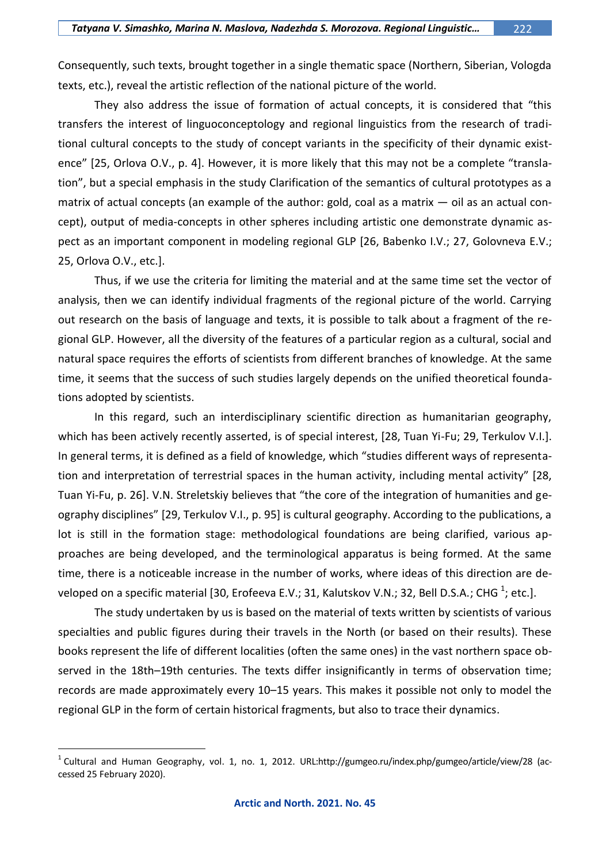Consequently, such texts, brought together in a single thematic space (Northern, Siberian, Vologda texts, etc.), reveal the artistic reflection of the national picture of the world.

They also address the issue of formation of actual concepts, it is considered that "this transfers the interest of linguoconceptology and regional linguistics from the research of traditional cultural concepts to the study of concept variants in the specificity of their dynamic existence" [25, Orlova O.V., p. 4]. However, it is more likely that this may not be a complete "translation", but a special emphasis in the study Clarification of the semantics of cultural prototypes as a matrix of actual concepts (an example of the author: gold, coal as a matrix — oil as an actual concept), output of media-concepts in other spheres including artistic one demonstrate dynamic aspect as an important component in modeling regional GLP [26, Babenko I.V.; 27, Golovneva E.V.; 25, Orlova O.V., etc.].

Thus, if we use the criteria for limiting the material and at the same time set the vector of analysis, then we can identify individual fragments of the regional picture of the world. Carrying out research on the basis of language and texts, it is possible to talk about a fragment of the regional GLP. However, all the diversity of the features of a particular region as a cultural, social and natural space requires the efforts of scientists from different branches of knowledge. At the same time, it seems that the success of such studies largely depends on the unified theoretical foundations adopted by scientists.

In this regard, such an interdisciplinary scientific direction as humanitarian geography, which has been actively recently asserted, is of special interest, [28, Tuan Yi-Fu; 29, Terkulov V.I.]. In general terms, it is defined as a field of knowledge, which "studies different ways of representation and interpretation of terrestrial spaces in the human activity, including mental activity" [28, Tuan Yi-Fu, p. 26]. V.N. Streletskiy believes that "the core of the integration of humanities and geography disciplines" [29, Terkulov V.I., p. 95] is cultural geography. According to the publications, a lot is still in the formation stage: methodological foundations are being clarified, various approaches are being developed, and the terminological apparatus is being formed. At the same time, there is a noticeable increase in the number of works, where ideas of this direction are developed on a specific material [30, Erofeeva E.V.; 31, Kalutskov V.N.; 32, Bell D.S.A.; CHG  $^{1}$ ; etc.].

The study undertaken by us is based on the material of texts written by scientists of various specialties and public figures during their travels in the North (or based on their results). These books represent the life of different localities (often the same ones) in the vast northern space observed in the 18th–19th centuries. The texts differ insignificantly in terms of observation time; records are made approximately every 10–15 years. This makes it possible not only to model the regional GLP in the form of certain historical fragments, but also to trace their dynamics.

 $\overline{a}$ 

 $^1$  Cultural and Human Geography, vol. 1, no. 1, 2012. [URL:http://gumgeo.ru/index.php/gumgeo/article/view/28](http://gumgeo.ru/index.php/gumgeo/article/view/28) (accessed 25 February 2020).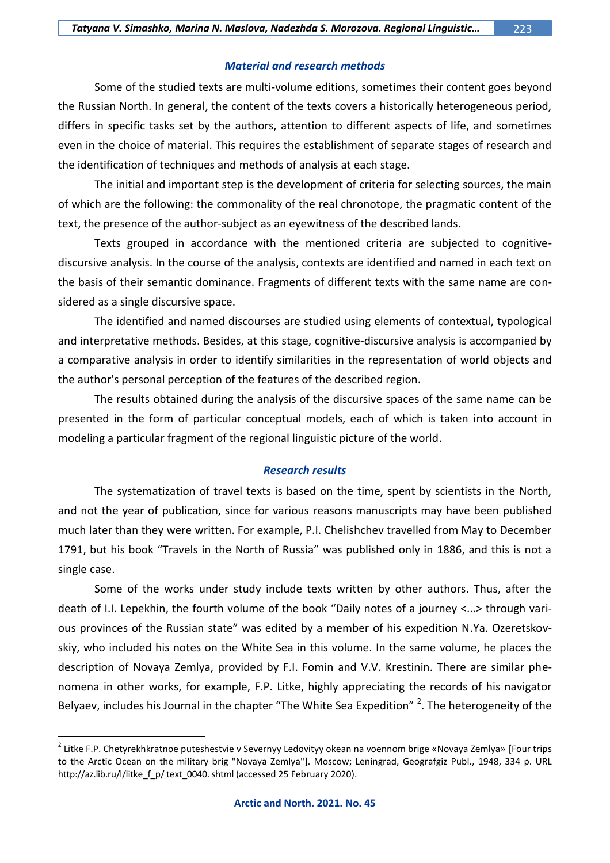## *Material and research methods*

Some of the studied texts are multi-volume editions, sometimes their content goes beyond the Russian North. In general, the content of the texts covers a historically heterogeneous period, differs in specific tasks set by the authors, attention to different aspects of life, and sometimes even in the choice of material. This requires the establishment of separate stages of research and the identification of techniques and methods of analysis at each stage.

The initial and important step is the development of criteria for selecting sources, the main of which are the following: the commonality of the real chronotope, the pragmatic content of the text, the presence of the author-subject as an eyewitness of the described lands.

Texts grouped in accordance with the mentioned criteria are subjected to cognitivediscursive analysis. In the course of the analysis, contexts are identified and named in each text on the basis of their semantic dominance. Fragments of different texts with the same name are considered as a single discursive space.

The identified and named discourses are studied using elements of contextual, typological and interpretative methods. Besides, at this stage, cognitive-discursive analysis is accompanied by a comparative analysis in order to identify similarities in the representation of world objects and the author's personal perception of the features of the described region.

The results obtained during the analysis of the discursive spaces of the same name can be presented in the form of particular conceptual models, each of which is taken into account in modeling a particular fragment of the regional linguistic picture of the world.

## *Research results*

The systematization of travel texts is based on the time, spent by scientists in the North, and not the year of publication, since for various reasons manuscripts may have been published much later than they were written. For example, P.I. Chelishchev travelled from May to December 1791, but his book "Travels in the North of Russia" was published only in 1886, and this is not a single case.

Some of the works under study include texts written by other authors. Thus, after the death of I.I. Lepekhin, the fourth volume of the book "Daily notes of a journey <...> through various provinces of the Russian state" was edited by a member of his expedition N.Ya. Ozeretskovskiy, who included his notes on the White Sea in this volume. In the same volume, he places the description of Novaya Zemlya, provided by F.I. Fomin and V.V. Krestinin. There are similar phenomena in other works, for example, F.P. Litke, highly appreciating the records of his navigator Belyaev, includes his Journal in the chapter "The White Sea Expedition" <sup>2</sup>. The heterogeneity of the

 $\overline{a}$ 

<sup>&</sup>lt;sup>2</sup> Litke F.P. Chetyrekhkratnoe puteshestvie v Severnyy Ledovityy okean na voennom brige «Novaya Zemlya» [Four trips to the Arctic Ocean on the military brig "Novaya Zemlya"]. Moscow; Leningrad, Geografgiz Publ., 1948, 334 p. URL http://az.lib.ru/l/litke f p/ text 0040. shtml (accessed 25 February 2020).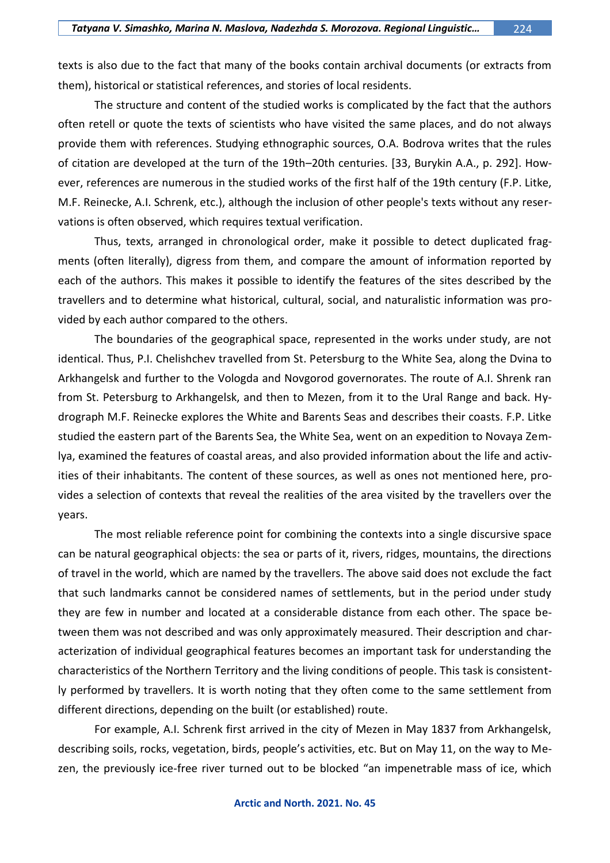texts is also due to the fact that many of the books contain archival documents (or extracts from them), historical or statistical references, and stories of local residents.

The structure and content of the studied works is complicated by the fact that the authors often retell or quote the texts of scientists who have visited the same places, and do not always provide them with references. Studying ethnographic sources, O.A. Bodrova writes that the rules of citation are developed at the turn of the 19th–20th centuries. [33, Burykin A.A., p. 292]. However, references are numerous in the studied works of the first half of the 19th century (F.P. Litke, M.F. Reinecke, A.I. Schrenk, etc.), although the inclusion of other people's texts without any reservations is often observed, which requires textual verification.

Thus, texts, arranged in chronological order, make it possible to detect duplicated fragments (often literally), digress from them, and compare the amount of information reported by each of the authors. This makes it possible to identify the features of the sites described by the travellers and to determine what historical, cultural, social, and naturalistic information was provided by each author compared to the others.

The boundaries of the geographical space, represented in the works under study, are not identical. Thus, P.I. Chelishchev travelled from St. Petersburg to the White Sea, along the Dvina to Arkhangelsk and further to the Vologda and Novgorod governorates. The route of A.I. Shrenk ran from St. Petersburg to Arkhangelsk, and then to Mezen, from it to the Ural Range and back. Hydrograph M.F. Reinecke explores the White and Barents Seas and describes their coasts. F.P. Litke studied the eastern part of the Barents Sea, the White Sea, went on an expedition to Novaya Zemlya, examined the features of coastal areas, and also provided information about the life and activities of their inhabitants. The content of these sources, as well as ones not mentioned here, provides a selection of contexts that reveal the realities of the area visited by the travellers over the years.

The most reliable reference point for combining the contexts into a single discursive space can be natural geographical objects: the sea or parts of it, rivers, ridges, mountains, the directions of travel in the world, which are named by the travellers. The above said does not exclude the fact that such landmarks cannot be considered names of settlements, but in the period under study they are few in number and located at a considerable distance from each other. The space between them was not described and was only approximately measured. Their description and characterization of individual geographical features becomes an important task for understanding the characteristics of the Northern Territory and the living conditions of people. This task is consistently performed by travellers. It is worth noting that they often come to the same settlement from different directions, depending on the built (or established) route.

For example, A.I. Schrenk first arrived in the city of Mezen in May 1837 from Arkhangelsk, describing soils, rocks, vegetation, birds, people's activities, etc. But on May 11, on the way to Mezen, the previously ice-free river turned out to be blocked "an impenetrable mass of ice, which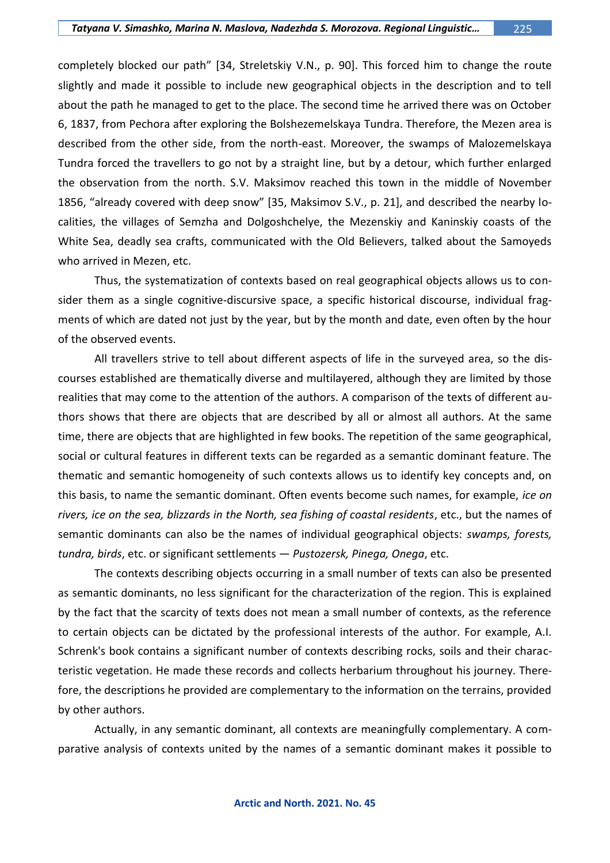completely blocked our path" [34, Streletskiy V.N., p. 90]. This forced him to change the route slightly and made it possible to include new geographical objects in the description and to tell about the path he managed to get to the place. The second time he arrived there was on October 6, 1837, from Pechora after exploring the Bolshezemelskaya Tundra. Therefore, the Mezen area is described from the other side, from the north-east. Moreover, the swamps of Malozemelskaya Tundra forced the travellers to go not by a straight line, but by a detour, which further enlarged the observation from the north. S.V. Maksimov reached this town in the middle of November 1856, "already covered with deep snow" [35, Maksimov S.V., p. 21], and described the nearby localities, the villages of Semzha and Dolgoshchelye, the Mezenskiy and Kaninskiy coasts of the White Sea, deadly sea crafts, communicated with the Old Believers, talked about the Samoyeds who arrived in Mezen, etc.

Thus, the systematization of contexts based on real geographical objects allows us to consider them as a single cognitive-discursive space, a specific historical discourse, individual fragments of which are dated not just by the year, but by the month and date, even often by the hour of the observed events.

All travellers strive to tell about different aspects of life in the surveyed area, so the discourses established are thematically diverse and multilayered, although they are limited by those realities that may come to the attention of the authors. A comparison of the texts of different authors shows that there are objects that are described by all or almost all authors. At the same time, there are objects that are highlighted in few books. The repetition of the same geographical, social or cultural features in different texts can be regarded as a semantic dominant feature. The thematic and semantic homogeneity of such contexts allows us to identify key concepts and, on this basis, to name the semantic dominant. Often events become such names, for example, *ice on rivers, ice on the sea, blizzards in the North, sea fishing of coastal residents*, etc., but the names of semantic dominants can also be the names of individual geographical objects: *swamps, forests, tundra, birds*, etc. or significant settlements — *Pustozersk, Pinega, Onega*, etc.

The contexts describing objects occurring in a small number of texts can also be presented as semantic dominants, no less significant for the characterization of the region. This is explained by the fact that the scarcity of texts does not mean a small number of contexts, as the reference to certain objects can be dictated by the professional interests of the author. For example, A.I. Schrenk's book contains a significant number of contexts describing rocks, soils and their characteristic vegetation. He made these records and collects herbarium throughout his journey. Therefore, the descriptions he provided are complementary to the information on the terrains, provided by other authors.

Actually, in any semantic dominant, all contexts are meaningfully complementary. A comparative analysis of contexts united by the names of a semantic dominant makes it possible to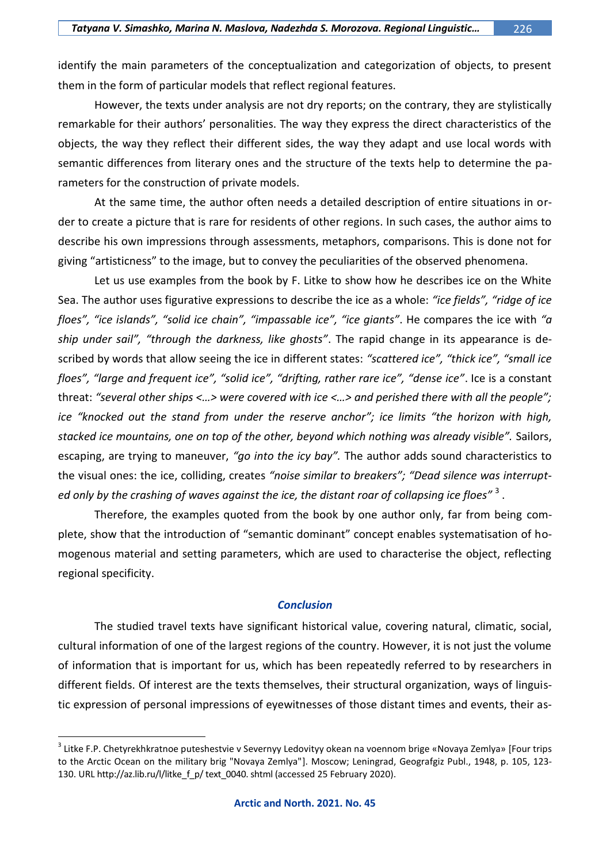identify the main parameters of the conceptualization and categorization of objects, to present them in the form of particular models that reflect regional features.

However, the texts under analysis are not dry reports; on the contrary, they are stylistically remarkable for their authors' personalities. The way they express the direct characteristics of the objects, the way they reflect their different sides, the way they adapt and use local words with semantic differences from literary ones and the structure of the texts help to determine the parameters for the construction of private models.

At the same time, the author often needs a detailed description of entire situations in order to create a picture that is rare for residents of other regions. In such cases, the author aims to describe his own impressions through assessments, metaphors, comparisons. This is done not for giving "artisticness" to the image, but to convey the peculiarities of the observed phenomena.

Let us use examples from the book by F. Litke to show how he describes ice on the White Sea. The author uses figurative expressions to describe the ice as a whole: *"ice fields", "ridge of ice floes", "ice islands", "solid ice chain", "impassable ice", "ice giants"*. He compares the ice with *"a ship under sail", "through the darkness, like ghosts"*. The rapid change in its appearance is described by words that allow seeing the ice in different states: *"scattered ice", "thick ice", "small ice floes", "large and frequent ice", "solid ice", "drifting, rather rare ice", "dense ice"*. Ice is a constant threat: *"several other ships <…> were covered with ice <…> and perished there with all the people"; ice "knocked out the stand from under the reserve anchor"; ice limits "the horizon with high, stacked ice mountains, one on top of the other, beyond which nothing was already visible".* Sailors, escaping, are trying to maneuver, *"go into the icy bay".* The author adds sound characteristics to the visual ones: the ice, colliding, creates *"noise similar to breakers"; "Dead silence was interrupted only by the crashing of waves against the ice, the distant roar of collapsing ice floes"* <sup>3</sup> .

Therefore, the examples quoted from the book by one author only, far from being complete, show that the introduction of "semantic dominant" concept enables systematisation of homogenous material and setting parameters, which are used to characterise the object, reflecting regional specificity.

## *Conclusion*

The studied travel texts have significant historical value, covering natural, climatic, social, cultural information of one of the largest regions of the country. However, it is not just the volume of information that is important for us, which has been repeatedly referred to by researchers in different fields. Of interest are the texts themselves, their structural organization, ways of linguistic expression of personal impressions of eyewitnesses of those distant times and events, their as-

 $\overline{a}$ 

<sup>&</sup>lt;sup>3</sup> Litke F.P. Chetyrekhkratnoe puteshestvie v Severnyy Ledovityy okean na voennom brige «Novaya Zemlya» [Four trips to the Arctic Ocean on the military brig "Novaya Zemlya"]. Moscow; Leningrad, Geografgiz Publ., 1948, p. 105, 123- 130. URL [http://az.lib.ru/l/litke\\_f\\_p/ text\\_0040. shtml](http://az.lib.ru/l/litke_f_p/%20text_0040.%20shtml) (accessed 25 February 2020).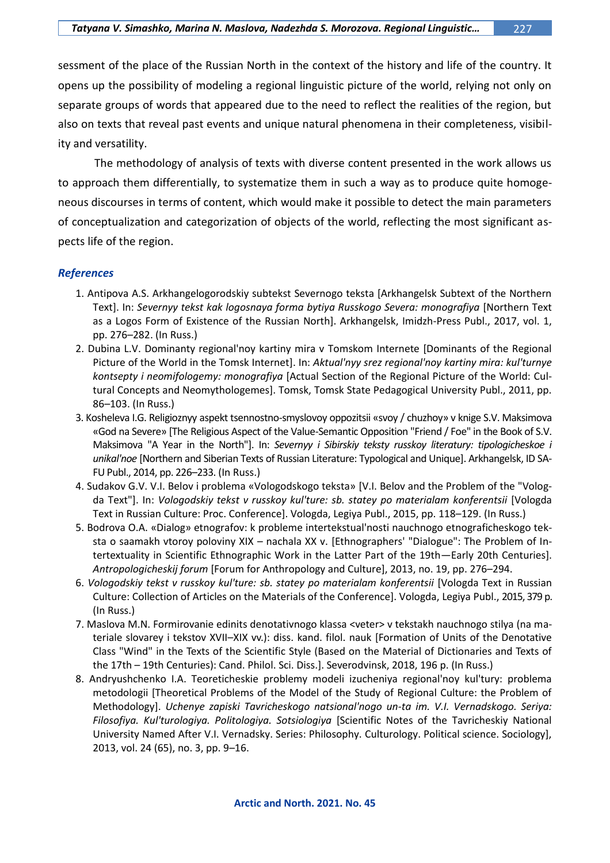sessment of the place of the Russian North in the context of the history and life of the country. It opens up the possibility of modeling a regional linguistic picture of the world, relying not only on separate groups of words that appeared due to the need to reflect the realities of the region, but also on texts that reveal past events and unique natural phenomena in their completeness, visibility and versatility.

The methodology of analysis of texts with diverse content presented in the work allows us to approach them differentially, to systematize them in such a way as to produce quite homogeneous discourses in terms of content, which would make it possible to detect the main parameters of conceptualization and categorization of objects of the world, reflecting the most significant aspects life of the region.

## *References*

- 1. Antipova A.S. Arkhangelogorodskiy subtekst Severnogo teksta [Arkhangelsk Subtext of the Northern Text]. In: *Severnyy tekst kak logosnaya forma bytiya Russkogo Severa: monografiya* [Northern Text as a Logos Form of Existence of the Russian North]. Arkhangelsk, Imidzh-Press Publ., 2017, vol. 1, pp. 276–282. (In Russ.)
- 2. Dubina L.V. Dominanty regional'noy kartiny mira v Tomskom Internete [Dominants of the Regional Picture of the World in the Tomsk Internet]. In: *Aktual'nyy srez regional'noy kartiny mira: kul'turnye kontsepty i neomifologemy: monografiya* [Actual Section of the Regional Picture of the World: Cultural Concepts and Neomythologemes]. Tomsk, Tomsk State Pedagogical University Publ., 2011, pp. 86–103. (In Russ.)
- 3. Kosheleva I.G. Religioznyy aspekt tsennostno-smyslovoy oppozitsii «svoy / chuzhoy» v knige S.V. Maksimova «God na Severe» [The Religious Aspect of the Value-Semantic Opposition "Friend / Foe" in the Book of S.V. Maksimova "A Year in the North"]. In: *Severnyy i Sibirskiy teksty russkoy literatury: tipologicheskoe i unikal'noe* [Northern and Siberian Texts of Russian Literature: Typological and Unique]. Arkhangelsk, ID SA-FU Publ., 2014, pp. 226–233. (In Russ.)
- 4. Sudakov G.V. V.I. Belov i problema «Vologodskogo teksta» [V.I. Belov and the Problem of the "Vologda Text"]. In: *Vologodskiy tekst v russkoy kul'ture: sb. statey po materialam konferentsii* [Vologda Text in Russian Culture: Proc. Conference]. Vologda, Legiya Publ., 2015, pp. 118–129. (In Russ.)
- 5. Bodrova O.A. «Dialog» etnografov: k probleme intertekstual'nosti nauchnogo etnograficheskogo teksta o saamakh vtoroy poloviny XIX – nachala XX v. [Ethnographers' "Dialogue": The Problem of Intertextuality in Scientific Ethnographic Work in the Latter Part of the 19th—Early 20th Centuries]. *Antropologicheskij forum* [Forum for Anthropology and Culture], 2013, no. 19, pp. 276–294.
- 6. *Vologodskiy tekst v russkoy kul'ture: sb. statey po materialam konferentsii* [Vologda Text in Russian Culture: Collection of Articles on the Materials of the Conference]. Vologda, Legiya Publ., 2015, 379 p. (In Russ.)
- 7. Maslova M.N. Formirovanie edinits denotativnogo klassa <veter> v tekstakh nauchnogo stilya (na materiale slovarey i tekstov XVII–XIX vv.): diss. kand. filol. nauk [Formation of Units of the Denotative Class "Wind" in the Texts of the Scientific Style (Based on the Material of Dictionaries and Texts of the 17th – 19th Centuries): Cand. Philol. Sci. Diss.]. Severodvinsk, 2018, 196 p. (In Russ.)
- 8. Andryushchenko I.A. Teoreticheskie problemy modeli izucheniya regional'noy kul'tury: problema metodologii [Theoretical Problems of the Model of the Study of Regional Culture: the Problem of Methodology]. *Uchenye zapiski Tavricheskogo natsional'nogo un-ta im. V.I. Vernadskogo. Seriya: Filosofiya. Kul'turologiya. Politologiya. Sotsiologiya* [Scientific Notes of the Tavricheskiy National University Named After V.I. Vernadsky. Series: Philosophy. Culturology. Political science. Sociology], 2013, vol. 24 (65), no. 3, pp. 9–16.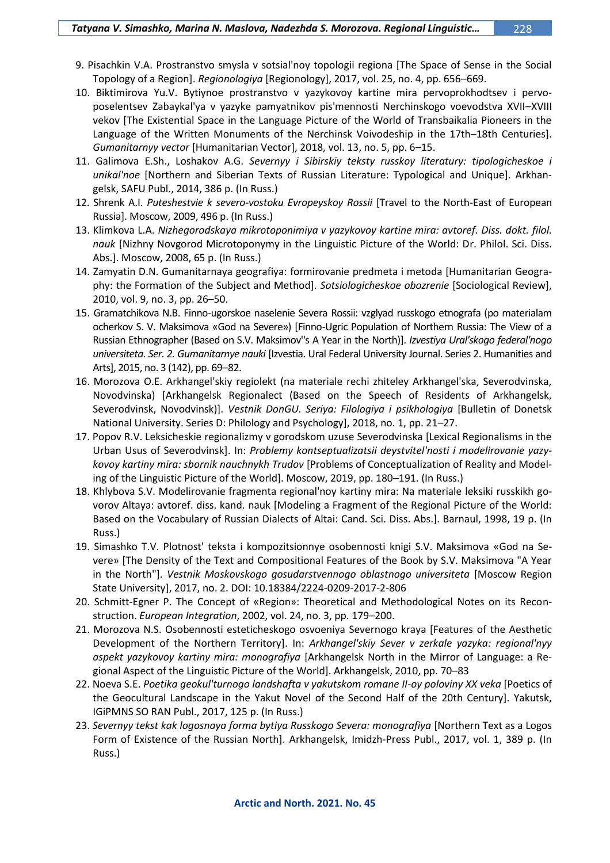- 9. Pisachkin V.A. Prostranstvo smysla v sotsial'noy topologii regiona [The Space of Sense in the Social Topology of a Region]. *Regionologiya* [Regionology], 2017, vol. 25, no. 4, pp. 656–669.
- 10. Biktimirova Yu.V. Bytiynoe prostranstvo v yazykovoy kartine mira pervoprokhodtsev i pervoposelentsev Zabaykal'ya v yazyke pamyatnikov pis'mennosti Nerchinskogo voevodstva XVII–XVIII vekov [The Existential Space in the Language Picture of the World of Transbaikalia Pioneers in the Language of the Written Monuments of the Nerchinsk Voivodeship in the 17th–18th Centuries]. *Gumanitarnyy vector* [Humanitarian Vector], 2018, vol. 13, no. 5, pp. 6–15.
- 11. Galimova E.Sh., Loshakov A.G. *Severnyy i Sibirskiy teksty russkoy literatury: tipologicheskoe i unikal'noe* [Northern and Siberian Texts of Russian Literature: Typological and Unique]. Arkhangelsk, SAFU Publ., 2014, 386 p. (In Russ.)
- 12. Shrenk A.I. *Puteshestvie k severo-vostoku Evropeyskoy Rossii* [Travel to the North-East of European Russia]. Moscow, 2009, 496 p. (In Russ.)
- 13. Klimkova L.A. *Nizhegorodskaya mikrotoponimiya v yazykovoy kartine mira: avtoref. Diss. dokt. filol. nauk* [Nizhny Novgorod Microtoponymy in the Linguistic Picture of the World: Dr. Philol. Sci. Diss. Abs.]. Moscow, 2008, 65 p. (In Russ.)
- 14. Zamyatin D.N. Gumanitarnaya geografiya: formirovanie predmeta i metoda [Humanitarian Geography: the Formation of the Subject and Method]. *Sotsiologicheskoe obozrenie* [Sociological Review], 2010, vol. 9, no. 3, pp. 26–50.
- 15. Gramatchikova N.B. Finno-ugorskoe naselenie Severa Rossii: vzglyad russkogo etnografa (po materialam ocherkov S. V. Maksimova «God na Severe») [Finno-Ugric Population of Northern Russia: The View of a Russian Ethnographer (Based on S.V. Maksimov''s A Year in the North)]. *Izvestiya Ural'skogo federal'nogo universiteta. Ser. 2. Gumanitarnye nauki* [Izvestia. Ural Federal University Journal. Series 2. Humanities and Arts], 2015, no. 3 (142), pp. 69–82.
- 16. Morozova O.E. Arkhangel'skiy regiolekt (na materiale rechi zhiteley Arkhangel'ska, Severodvinska, Novodvinska) [Arkhangelsk Regionalect (Based on the Speech of Residents of Arkhangelsk, Severodvinsk, Novodvinsk)]. *Vestnik DonGU. Seriya: Filologiya i psikhologiya* [Bulletin of Donetsk National University. Series D: Philology and Psychology], 2018, no. 1, pp. 21–27.
- 17. Popov R.V. Leksicheskie regionalizmy v gorodskom uzuse Severodvinska [Lexical Regionalisms in the Urban Usus of Severodvinsk]. In: *Problemy kontseptualizatsii deystvitel'nosti i modelirovanie yazykovoy kartiny mira: sbornik nauchnykh Trudov* [Problems of Conceptualization of Reality and Modeling of the Linguistic Picture of the World]. Moscow, 2019, pp. 180–191. (In Russ.)
- 18. Khlybova S.V. Modelirovanie fragmenta regional'noy kartiny mira: Na materiale leksiki russkikh govorov Altaya: avtoref. diss. kand. nauk [Modeling a Fragment of the Regional Picture of the World: Based on the Vocabulary of Russian Dialects of Altai: Cand. Sci. Diss. Abs.]. Barnaul, 1998, 19 p. (In Russ.)
- 19. Simashko T.V. Plotnost' teksta i kompozitsionnye osobennosti knigi S.V. Maksimova «God na Severe» [The Density of the Text and Compositional Features of the Book by S.V. Maksimova "A Year in the North"]. *Vestnik Moskovskogo gosudarstvennogo oblastnogo universiteta* [Moscow Region State University], 2017, no. 2. DOI: 10.18384/2224-0209-2017-2-806
- 20. Schmitt-Egner P. The Concept of «Region»: Theoretical and Methodological Notes on its Reconstruction. *European Integration*, 2002, vol. 24, no. 3, pp. 179–200.
- 21. Morozova N.S. Osobennosti esteticheskogo osvoeniya Severnogo kraya [Features of the Aesthetic Development of the Northern Territory]. In: *Arkhangel'skiy Sever v zerkale yazyka: regional'nyy aspekt yazykovoy kartiny mira: monografiya* [Arkhangelsk North in the Mirror of Language: a Regional Aspect of the Linguistic Picture of the World]. Arkhangelsk, 2010, pp. 70–83
- 22. Noeva S.E. *Poetika geokul'turnogo landshafta v yakutskom romane II-oy poloviny XX veka* [Poetics of the Geocultural Landscape in the Yakut Novel of the Second Half of the 20th Century]. Yakutsk, IGiPMNS SO RAN Publ., 2017, 125 p. (In Russ.)
- 23. *Severnyy tekst kak logosnaya forma bytiya Russkogo Severa: monografiya* [Northern Text as a Logos Form of Existence of the Russian North]. Arkhangelsk, Imidzh-Press Publ., 2017, vol. 1, 389 p. (In Russ.)